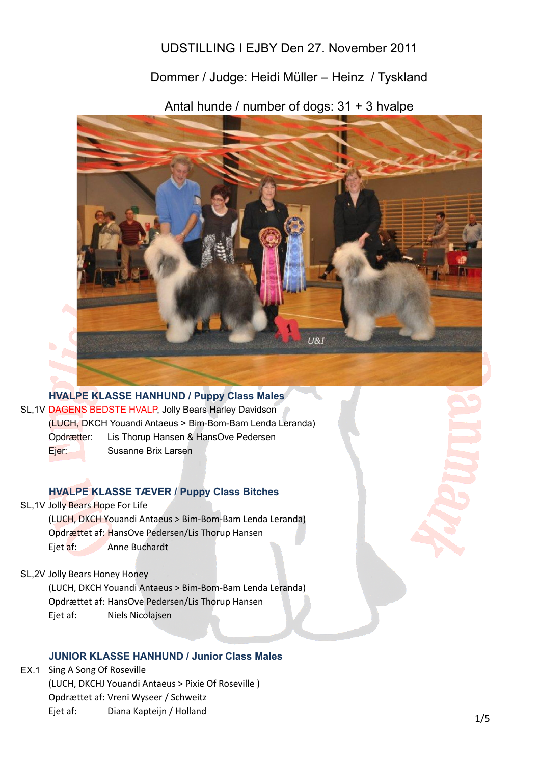# UDSTILLING I EJBY Den 27. November 2011

# Dommer / Judge: Heidi Müller – Heinz / Tyskland

Antal hunde / number of dogs: 31 + 3 hvalpe



**HVALPE KLASSE HANHUND / Puppy Class Males** SL,1V DAGENS BEDSTE HVALP, Jolly Bears Harley Davidson Opdrætter: Lis Thorup Hansen & HansOve Pedersen Ejer: Susanne Brix Larsen (LUCH, DKCH Youandi Antaeus > Bim-Bom-Bam Lenda Leranda)

#### **HVALPE KLASSE TÆVER / Puppy Class Bitches**

- SL, 1V Jolly Bears Hope For Life (LUCH, DKCH Youandi Antaeus > Bim-Bom-Bam Lenda Leranda) Opdrættet af: HansOve Pedersen/Lis Thorup Hansen Ejet af: Anne Buchardt
- SL,2V Jolly Bears Honey Honey

(LUCH, DKCH Youandi Antaeus > Bim-Bom-Bam Lenda Leranda) Opdrættet af: HansOve Pedersen/Lis Thorup Hansen Ejet af: Niels Nicolajsen

### **JUNIOR KLASSE HANHUND / Junior Class Males**

EX.1 Sing A Song Of Roseville (LUCH, DKCHJ Youandi Antaeus > Pixie Of Roseville) Opdrættet af: Vreni Wyseer / Schweitz Ejet af: Diana Kapteijn / Holland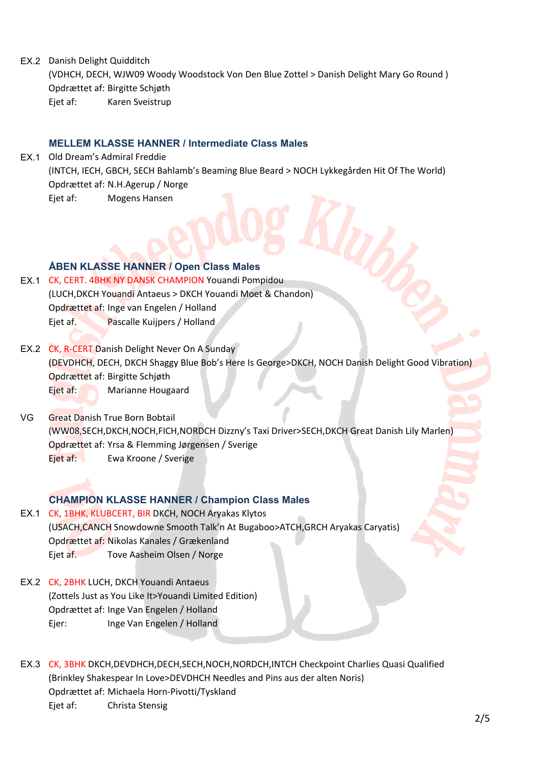EX.2 Danish Delight Quidditch

(VDHCH, DECH, WJW09 Woody Woodstock Von Den Blue Zottel > Danish Delight Mary Go Round) Opdrættet af: Birgitte Schjøth Ejet af: Karen Sveistrup

### **MELLEM KLASSE HANNER / Intermediate Class Males**

EX.1 Old Dream's Admiral Freddie (INTCH, IECH, GBCH, SECH Bahlamb's Beaming Blue Beard > NOCH Lykkegården Hit Of The World) Opdrættet af: N.H.Agerup / Norge Ejet af: Mogens Hansen

# **ÅBEN KLASSE HANNER / Open Class Males**

- EX.1 CK, CERT. 4BHK NY DANSK CHAMPION Youandi Pompidou (LUCH, DKCH Youandi Antaeus > DKCH Youandi Moet & Chandon) Opdrættet af: Inge van Engelen / Holland Ejet af. Pascalle Kuijpers / Holland
- EX.2 CK, R-CERT Danish Delight Never On A Sunday (DEVDHCH, DECH, DKCH Shaggy Blue Bob's Here Is George>DKCH, NOCH Danish Delight Good Vibration) Opdrættet af: Birgitte Schjøth Ejet af: Marianne Hougaard
- VG Great Danish True Born Bobtail (WW08,SECH,DKCH,NOCH,FICH,NORDCH Dizzny's Taxi Driver>SECH,DKCH Great Danish Lily Marlen) Opdrættet af: Yrsa & Flemming Jørgensen / Sverige Ejet af: Ewa Kroone / Sverige

# **CHAMPION KLASSE HANNER / Champion Class Males**

- EX.1 CK, 1BHK, KLUBCERT, BIR DKCH, NOCH Aryakas Klytos (USACH, CANCH Snowdowne Smooth Talk'n At Bugaboo>ATCH, GRCH Aryakas Caryatis) Opdrættet af: Nikolas Kanales / Grækenland Ejet af. Tove Aasheim Olsen / Norge
- EX.2 CK, 2BHK LUCH, DKCH Youandi Antaeus (Zottels Just as You Like It>Youandi Limited Edition) Opdrættet af: Inge Van Engelen / Holland Ejer: Inge Van Engelen / Holland
- EX.3 CK, 3BHK DKCH,DEVDHCH,DECH,SECH,NOCH,NORDCH,INTCH Checkpoint Charlies Quasi Qualified (Brinkley Shakespear In Love>DEVDHCH Needles and Pins aus der alten Noris) Opdrættet af: Michaela Horn-Pivotti/Tyskland Ejet af: Christa Stensig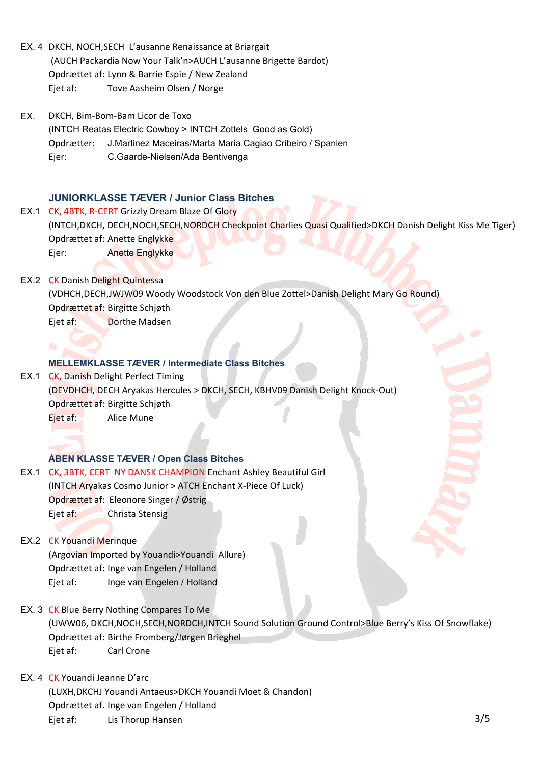- EX. 4 DKCH, NOCH, SECH L'ausanne Renaissance at Briargait (AUCH Packardia Now Your Talk'n>AUCH L'ausanne Brigette Bardot) Opdrættet af: Lynn & Barrie Espie / New Zealand Eiet af: Tove Aasheim Olsen / Norge
- EX. Opdrætter: J.Martinez Maceiras/Marta Maria Cagiao Cribeiro / Spanien Ejer: C.Gaarde-Nielsen/Ada Bentivenga DKCH, Bim-Bom-Bam Licor de Toxo (INTCH Reatas Electric Cowboy > INTCH Zottels Good as Gold)

#### **JUNIORKLASSE TÆVER / Junior Class Bitches**

- EX.1 CK, 4BTK, R-CERT Grizzly Dream Blaze Of Glory (INTCH, DKCH, DECH, NOCH, SECH, NORDCH Checkpoint Charlies Quasi Qualified>DKCH Danish Delight Kiss Me Tiger) Opdrættet af: Anette Englykke Ejer: Anette Englykke
- EX.2 CK Danish Delight Quintessa (VDHCH,DECH,JWJW09 Woody Woodstock Von den Blue Zottel>Danish Delight Mary Go Round) Opdrættet af: Birgitte Schjøth Ejet af: Dorthe Madsen

#### **MELLEMKLASSE TÆVER / Intermediate Class Bitches**

EX.1 CK, Danish Delight Perfect Timing (DEVDHCH, DECH Aryakas Hercules > DKCH, SECH, KBHV09 Danish Delight Knock-Out) Opdrættet af: Birgitte Schjøth Eiet af: Alice Mune

#### **ÅBEN KLASSE TÆVER / Open Class Bitches**

EX.1 CK, 3BTK, CERT NY DANSK CHAMPION Enchant Ashley Beautiful Girl (INTCH Aryakas Cosmo Junior > ATCH Enchant X-Piece Of Luck) Opdrættet af: Eleonore Singer / Østrig Ejet af: Christa Stensig

# EX.2 CK Youandi Merinque (Argovian Imported by Youandi>Youandi Allure) Opdrættet af: Inge van Engelen / Holland Ejet af: Inge van Engelen / Holland

- EX. 3 CK Blue Berry Nothing Compares To Me (UWW06, DKCH,NOCH,SECH,NORDCH,INTCH Sound Solution Ground Control>Blue Berry's Kiss Of Snowflake) Opdrættet af: Birthe Fromberg/Jørgen Brieghel Ejet af: Carl Crone
- EX. 4 CK Youandi Jeanne D'arc (LUXH,DKCHJ Youandi Antaeus>DKCH Youandi Moet & Chandon) Opdrættet af. Inge van Engelen / Holland Ejet af: Lis Thorup Hansen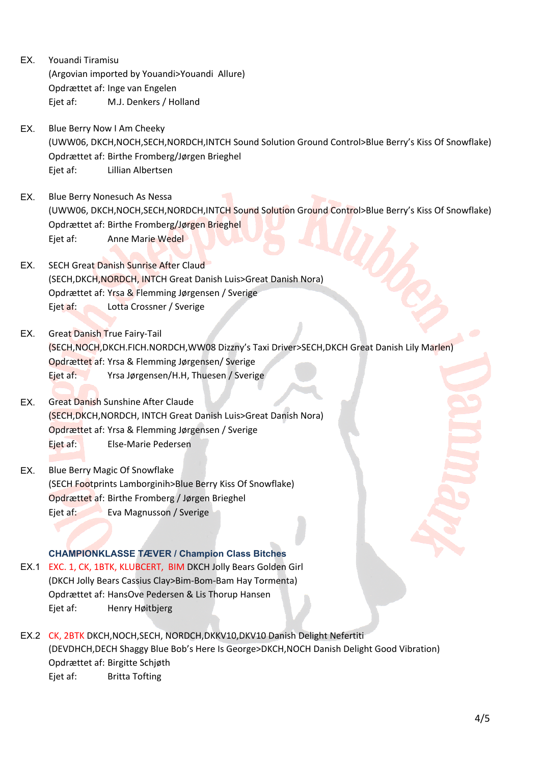- EX. Youandi Tiramisu (Argovian imported by Youandi>Youandi Allure) Opdrættet af: Inge van Engelen Ejet af: M.J. Denkers / Holland
- EX. Blue Berry Now I Am Cheeky (UWW06, DKCH,NOCH,SECH,NORDCH,INTCH Sound Solution Ground Control>Blue Berry's Kiss Of Snowflake) Opdrættet af: Birthe Fromberg/Jørgen Brieghel Ejet af: Lillian Albertsen
- EX. Blue Berry Nonesuch As Nessa (UWW06, DKCH,NOCH,SECH,NORDCH,INTCH Sound Solution Ground Control>Blue Berry's Kiss Of Snowflake) Opdrættet af: Birthe Fromberg/Jørgen Brieghel Ejet af: Anne Marie Wedel
- EX. SECH Great Danish Sunrise After Claud (SECH, DKCH, NORDCH, INTCH Great Danish Luis>Great Danish Nora) Opdrættet af: Yrsa & Flemming Jørgensen / Sverige Ejet af: Lotta Crossner / Sverige
- EX. Great Danish True Fairy-Tail (SECH,NOCH,DKCH.FICH.NORDCH,WW08 Dizzny's Taxi Driver>SECH,DKCH Great Danish Lily Marlen) Opdrættet af: Yrsa & Flemming Jørgensen/ Sverige Ejet af: Yrsa Jørgensen/H.H, Thuesen / Sverige
- EX. Great Danish Sunshine After Claude (SECH, DKCH, NORDCH, INTCH Great Danish Luis>Great Danish Nora) Opdrættet af: Yrsa & Flemming Jørgensen / Sverige Eiet af: Else-Marie Pedersen
- EX. Blue Berry Magic Of Snowflake (SECH Footprints Lamborginih>Blue Berry Kiss Of Snowflake) Opdrættet af: Birthe Fromberg / Jørgen Brieghel Ejet af: Eva Magnusson / Sverige

# **CHAMPIONKLASSE TÆVER / Champion Class Bitches**

- EX.1 EXC. 1, CK, 1BTK, KLUBCERT, BIM DKCH Jolly Bears Golden Girl (DKCH Jolly Bears Cassius Clay>Bim-Bom-Bam Hay Tormenta) Opdrættet af: HansOve Pedersen & Lis Thorup Hansen Ejet af: Henry Høitbjerg
- EX.2 CK, 2BTK DKCH, NOCH, SECH, NORDCH, DKKV10, DKV10 Danish Delight Nefertiti (DEVDHCH, DECH Shaggy Blue Bob's Here Is George>DKCH, NOCH Danish Delight Good Vibration) Opdrættet af: Birgitte Schjøth Ejet af: Britta Tofting